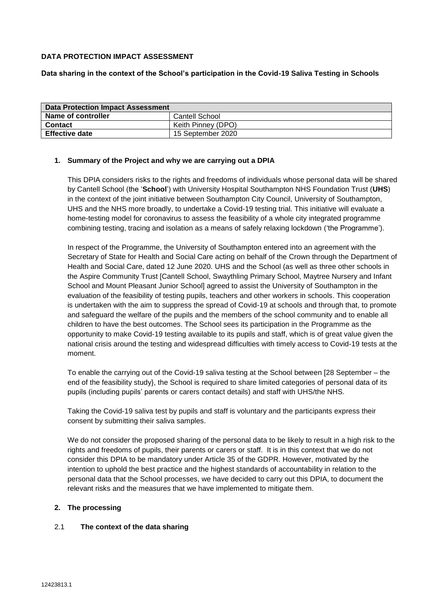## **DATA PROTECTION IMPACT ASSESSMENT**

## **Data sharing in the context of the School's participation in the Covid-19 Saliva Testing in Schools**

| <b>Data Protection Impact Assessment</b> |                    |  |
|------------------------------------------|--------------------|--|
| Name of controller                       | Cantell School     |  |
| <b>Contact</b>                           | Keith Pinney (DPO) |  |
| <b>Effective date</b>                    | 15 September 2020  |  |

## **1. Summary of the Project and why we are carrying out a DPIA**

This DPIA considers risks to the rights and freedoms of individuals whose personal data will be shared by Cantell School (the '**School**') with University Hospital Southampton NHS Foundation Trust (**UHS**) in the context of the joint initiative between Southampton City Council, University of Southampton, UHS and the NHS more broadly, to undertake a Covid-19 testing trial. This initiative will evaluate a home-testing model for coronavirus to assess the feasibility of a whole city integrated programme combining testing, tracing and isolation as a means of safely relaxing lockdown ('the Programme').

In respect of the Programme, the University of Southampton entered into an agreement with the Secretary of State for Health and Social Care acting on behalf of the Crown through the Department of Health and Social Care, dated 12 June 2020. UHS and the School (as well as three other schools in the Aspire Community Trust [Cantell School, Swaythling Primary School, Maytree Nursery and Infant School and Mount Pleasant Junior School] agreed to assist the University of Southampton in the evaluation of the feasibility of testing pupils, teachers and other workers in schools. This cooperation is undertaken with the aim to suppress the spread of Covid-19 at schools and through that, to promote and safeguard the welfare of the pupils and the members of the school community and to enable all children to have the best outcomes. The School sees its participation in the Programme as the opportunity to make Covid-19 testing available to its pupils and staff, which is of great value given the national crisis around the testing and widespread difficulties with timely access to Covid-19 tests at the moment.

To enable the carrying out of the Covid-19 saliva testing at the School between [28 September – the end of the feasibility study}, the School is required to share limited categories of personal data of its pupils (including pupils' parents or carers contact details) and staff with UHS/the NHS.

Taking the Covid-19 saliva test by pupils and staff is voluntary and the participants express their consent by submitting their saliva samples.

We do not consider the proposed sharing of the personal data to be likely to result in a high risk to the rights and freedoms of pupils, their parents or carers or staff. It is in this context that we do not consider this DPIA to be mandatory under Article 35 of the GDPR. However, motivated by the intention to uphold the best practice and the highest standards of accountability in relation to the personal data that the School processes, we have decided to carry out this DPIA, to document the relevant risks and the measures that we have implemented to mitigate them.

## **2. The processing**

## 2.1 **The context of the data sharing**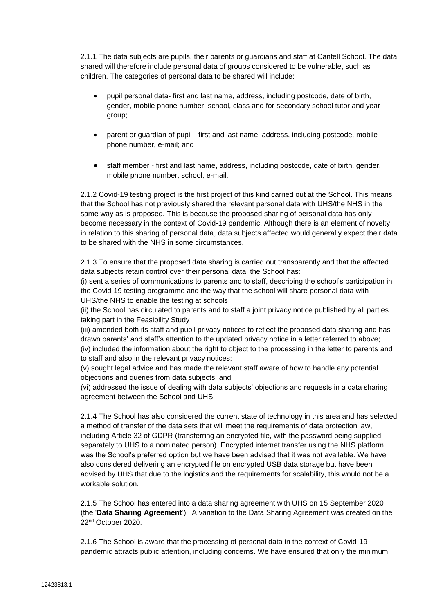2.1.1 The data subjects are pupils, their parents or guardians and staff at Cantell School. The data shared will therefore include personal data of groups considered to be vulnerable, such as children. The categories of personal data to be shared will include:

- pupil personal data- first and last name, address, including postcode, date of birth, gender, mobile phone number, school, class and for secondary school tutor and year group;
- parent or guardian of pupil first and last name, address, including postcode, mobile phone number, e-mail; and
- staff member first and last name, address, including postcode, date of birth, gender, mobile phone number, school, e-mail.

2.1.2 Covid-19 testing project is the first project of this kind carried out at the School. This means that the School has not previously shared the relevant personal data with UHS/the NHS in the same way as is proposed. This is because the proposed sharing of personal data has only become necessary in the context of Covid-19 pandemic. Although there is an element of novelty in relation to this sharing of personal data, data subjects affected would generally expect their data to be shared with the NHS in some circumstances.

2.1.3 To ensure that the proposed data sharing is carried out transparently and that the affected data subjects retain control over their personal data, the School has:

(i) sent a series of communications to parents and to staff, describing the school's participation in the Covid-19 testing programme and the way that the school will share personal data with UHS/the NHS to enable the testing at schools

(ii) the School has circulated to parents and to staff a joint privacy notice published by all parties taking part in the Feasibility Study

(iii) amended both its staff and pupil privacy notices to reflect the proposed data sharing and has drawn parents' and staff's attention to the updated privacy notice in a letter referred to above;

(iv) included the information about the right to object to the processing in the letter to parents and to staff and also in the relevant privacy notices;

(v) sought legal advice and has made the relevant staff aware of how to handle any potential objections and queries from data subjects; and

(vi) addressed the issue of dealing with data subjects' objections and requests in a data sharing agreement between the School and UHS.

2.1.4 The School has also considered the current state of technology in this area and has selected a method of transfer of the data sets that will meet the requirements of data protection law, including Article 32 of GDPR (transferring an encrypted file, with the password being supplied separately to UHS to a nominated person). Encrypted internet transfer using the NHS platform was the School's preferred option but we have been advised that it was not available. We have also considered delivering an encrypted file on encrypted USB data storage but have been advised by UHS that due to the logistics and the requirements for scalability, this would not be a workable solution.

2.1.5 The School has entered into a data sharing agreement with UHS on 15 September 2020 (the '**Data Sharing Agreement**'). A variation to the Data Sharing Agreement was created on the 22nd October 2020.

2.1.6 The School is aware that the processing of personal data in the context of Covid-19 pandemic attracts public attention, including concerns. We have ensured that only the minimum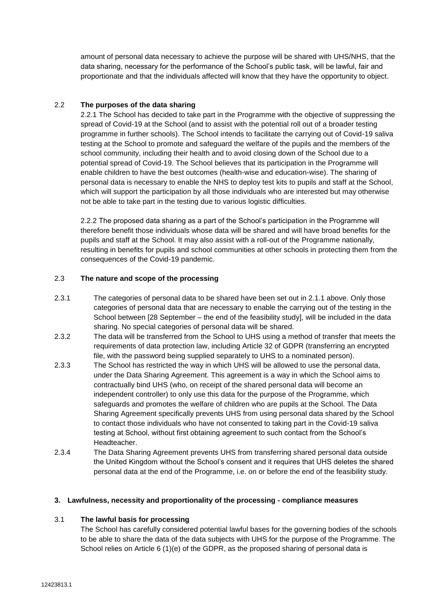amount of personal data necessary to achieve the purpose will be shared with UHS/NHS, that the data sharing, necessary for the performance of the School's public task, will be lawful, fair and proportionate and that the individuals affected will know that they have the opportunity to object.

## 2.2 **The purposes of the data sharing**

2.2.1 The School has decided to take part in the Programme with the objective of suppressing the spread of Covid-19 at the School (and to assist with the potential roll out of a broader testing programme in further schools). The School intends to facilitate the carrying out of Covid-19 saliva testing at the School to promote and safeguard the welfare of the pupils and the members of the school community, including their health and to avoid closing down of the School due to a potential spread of Covid-19. The School believes that its participation in the Programme will enable children to have the best outcomes (health-wise and education-wise). The sharing of personal data is necessary to enable the NHS to deploy test kits to pupils and staff at the School, which will support the participation by all those individuals who are interested but may otherwise not be able to take part in the testing due to various logistic difficulties.

2.2.2 The proposed data sharing as a part of the School's participation in the Programme will therefore benefit those individuals whose data will be shared and will have broad benefits for the pupils and staff at the School. It may also assist with a roll-out of the Programme nationally, resulting in benefits for pupils and school communities at other schools in protecting them from the consequences of the Covid-19 pandemic.

#### 2.3 **The nature and scope of the processing**

- 2.3.1 The categories of personal data to be shared have been set out in 2.1.1 above. Only those categories of personal data that are necessary to enable the carrying out of the testing in the School between [28 September – the end of the feasibility study], will be included in the data sharing. No special categories of personal data will be shared.
- 2.3.2 The data will be transferred from the School to UHS using a method of transfer that meets the requirements of data protection law, including Article 32 of GDPR (transferring an encrypted file, with the password being supplied separately to UHS to a nominated person).
- 2.3.3 The School has restricted the way in which UHS will be allowed to use the personal data, under the Data Sharing Agreement. This agreement is a way in which the School aims to contractually bind UHS (who, on receipt of the shared personal data will become an independent controller) to only use this data for the purpose of the Programme, which safeguards and promotes the welfare of children who are pupils at the School. The Data Sharing Agreement specifically prevents UHS from using personal data shared by the School to contact those individuals who have not consented to taking part in the Covid-19 saliva testing at School, without first obtaining agreement to such contact from the School's Headteacher.
- 2.3.4 The Data Sharing Agreement prevents UHS from transferring shared personal data outside the United Kingdom without the School's consent and it requires that UHS deletes the shared personal data at the end of the Programme, i.e. on or before the end of the feasibility study.

#### **3. Lawfulness, necessity and proportionality of the processing - compliance measures**

#### 3.1 **The lawful basis for processing**

The School has carefully considered potential lawful bases for the governing bodies of the schools to be able to share the data of the data subjects with UHS for the purpose of the Programme. The School relies on Article 6 (1)(e) of the GDPR, as the proposed sharing of personal data is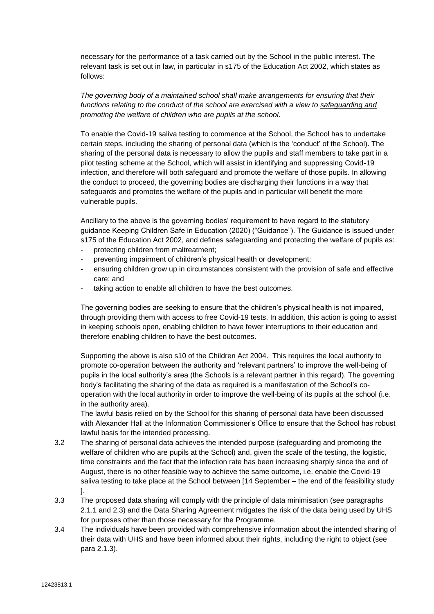necessary for the performance of a task carried out by the School in the public interest. The relevant task is set out in law, in particular in s175 of the Education Act 2002, which states as follows:

*The governing body of a maintained school shall make arrangements for ensuring that their functions relating to the conduct of the school are exercised with a view to safeguarding and promoting the welfare of children who are pupils at the school.*

To enable the Covid-19 saliva testing to commence at the School, the School has to undertake certain steps, including the sharing of personal data (which is the 'conduct' of the School). The sharing of the personal data is necessary to allow the pupils and staff members to take part in a pilot testing scheme at the School, which will assist in identifying and suppressing Covid-19 infection, and therefore will both safeguard and promote the welfare of those pupils. In allowing the conduct to proceed, the governing bodies are discharging their functions in a way that safeguards and promotes the welfare of the pupils and in particular will benefit the more vulnerable pupils.

Ancillary to the above is the governing bodies' requirement to have regard to the statutory guidance Keeping Children Safe in Education (2020) ("Guidance"). The Guidance is issued under s175 of the Education Act 2002, and defines safeguarding and protecting the welfare of pupils as:

- protecting children from maltreatment;
- preventing impairment of children's physical health or development;
- ensuring children grow up in circumstances consistent with the provision of safe and effective care; and
- taking action to enable all children to have the best outcomes.

The governing bodies are seeking to ensure that the children's physical health is not impaired, through providing them with access to free Covid-19 tests. In addition, this action is going to assist in keeping schools open, enabling children to have fewer interruptions to their education and therefore enabling children to have the best outcomes.

Supporting the above is also s10 of the Children Act 2004. This requires the local authority to promote co-operation between the authority and 'relevant partners' to improve the well-being of pupils in the local authority's area (the Schools is a relevant partner in this regard). The governing body's facilitating the sharing of the data as required is a manifestation of the School's cooperation with the local authority in order to improve the well-being of its pupils at the school (i.e. in the authority area).

The lawful basis relied on by the School for this sharing of personal data have been discussed with Alexander Hall at the Information Commissioner's Office to ensure that the School has robust lawful basis for the intended processing.

- 3.2 The sharing of personal data achieves the intended purpose (safeguarding and promoting the welfare of children who are pupils at the School) and, given the scale of the testing, the logistic, time constraints and the fact that the infection rate has been increasing sharply since the end of August, there is no other feasible way to achieve the same outcome, i.e. enable the Covid-19 saliva testing to take place at the School between [14 September – the end of the feasibility study ].
- 3.3 The proposed data sharing will comply with the principle of data minimisation (see paragraphs 2.1.1 and 2.3) and the Data Sharing Agreement mitigates the risk of the data being used by UHS for purposes other than those necessary for the Programme.
- 3.4 The individuals have been provided with comprehensive information about the intended sharing of their data with UHS and have been informed about their rights, including the right to object (see para 2.1.3).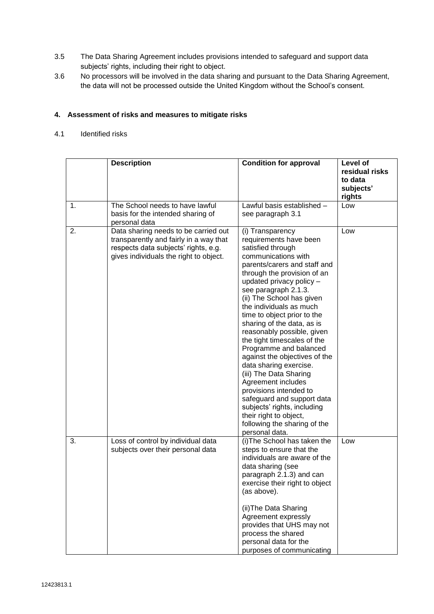- 3.5 The Data Sharing Agreement includes provisions intended to safeguard and support data subjects' rights, including their right to object.
- 3.6 No processors will be involved in the data sharing and pursuant to the Data Sharing Agreement, the data will not be processed outside the United Kingdom without the School's consent.

## **4. Assessment of risks and measures to mitigate risks**

# 4.1 Identified risks

|    | <b>Description</b>                                                                                                                                               | <b>Condition for approval</b>                                                                                                                                                                                                                                                                                                                                                                                                                                                                                                                                                                                                                                                                       | Level of<br>residual risks<br>to data<br>subjects'<br>rights |
|----|------------------------------------------------------------------------------------------------------------------------------------------------------------------|-----------------------------------------------------------------------------------------------------------------------------------------------------------------------------------------------------------------------------------------------------------------------------------------------------------------------------------------------------------------------------------------------------------------------------------------------------------------------------------------------------------------------------------------------------------------------------------------------------------------------------------------------------------------------------------------------------|--------------------------------------------------------------|
| 1. | The School needs to have lawful<br>basis for the intended sharing of<br>personal data                                                                            | Lawful basis established -<br>see paragraph 3.1                                                                                                                                                                                                                                                                                                                                                                                                                                                                                                                                                                                                                                                     | Low                                                          |
| 2. | Data sharing needs to be carried out<br>transparently and fairly in a way that<br>respects data subjects' rights, e.g.<br>gives individuals the right to object. | (i) Transparency<br>requirements have been<br>satisfied through<br>communications with<br>parents/carers and staff and<br>through the provision of an<br>updated privacy policy -<br>see paragraph 2.1.3.<br>(ii) The School has given<br>the individuals as much<br>time to object prior to the<br>sharing of the data, as is<br>reasonably possible, given<br>the tight timescales of the<br>Programme and balanced<br>against the objectives of the<br>data sharing exercise.<br>(iii) The Data Sharing<br>Agreement includes<br>provisions intended to<br>safeguard and support data<br>subjects' rights, including<br>their right to object,<br>following the sharing of the<br>personal data. | Low                                                          |
| 3. | Loss of control by individual data<br>subjects over their personal data                                                                                          | (i) The School has taken the<br>steps to ensure that the<br>individuals are aware of the<br>data sharing (see<br>paragraph 2.1.3) and can<br>exercise their right to object<br>(as above).<br>(ii) The Data Sharing<br>Agreement expressly<br>provides that UHS may not<br>process the shared<br>personal data for the<br>purposes of communicating                                                                                                                                                                                                                                                                                                                                                 | Low                                                          |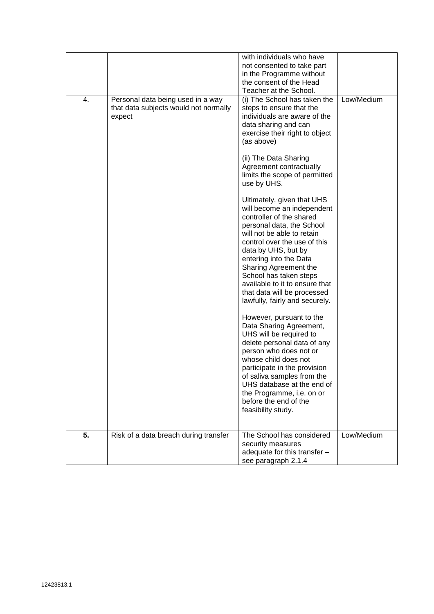|    |                                                                                      | with individuals who have<br>not consented to take part<br>in the Programme without<br>the consent of the Head<br>Teacher at the School.                                                                                                                                                                                                                                               |            |
|----|--------------------------------------------------------------------------------------|----------------------------------------------------------------------------------------------------------------------------------------------------------------------------------------------------------------------------------------------------------------------------------------------------------------------------------------------------------------------------------------|------------|
| 4. | Personal data being used in a way<br>that data subjects would not normally<br>expect | (i) The School has taken the<br>steps to ensure that the<br>individuals are aware of the<br>data sharing and can<br>exercise their right to object<br>(as above)                                                                                                                                                                                                                       | Low/Medium |
|    |                                                                                      | (ii) The Data Sharing<br>Agreement contractually<br>limits the scope of permitted<br>use by UHS.                                                                                                                                                                                                                                                                                       |            |
|    |                                                                                      | Ultimately, given that UHS<br>will become an independent<br>controller of the shared<br>personal data, the School<br>will not be able to retain<br>control over the use of this<br>data by UHS, but by<br>entering into the Data<br>Sharing Agreement the<br>School has taken steps<br>available to it to ensure that<br>that data will be processed<br>lawfully, fairly and securely. |            |
|    |                                                                                      | However, pursuant to the<br>Data Sharing Agreement,<br>UHS will be required to<br>delete personal data of any<br>person who does not or<br>whose child does not<br>participate in the provision<br>of saliva samples from the<br>UHS database at the end of<br>the Programme, i.e. on or<br>before the end of the<br>feasibility study.                                                |            |
| 5. | Risk of a data breach during transfer                                                | The School has considered<br>security measures<br>adequate for this transfer -<br>see paragraph 2.1.4                                                                                                                                                                                                                                                                                  | Low/Medium |